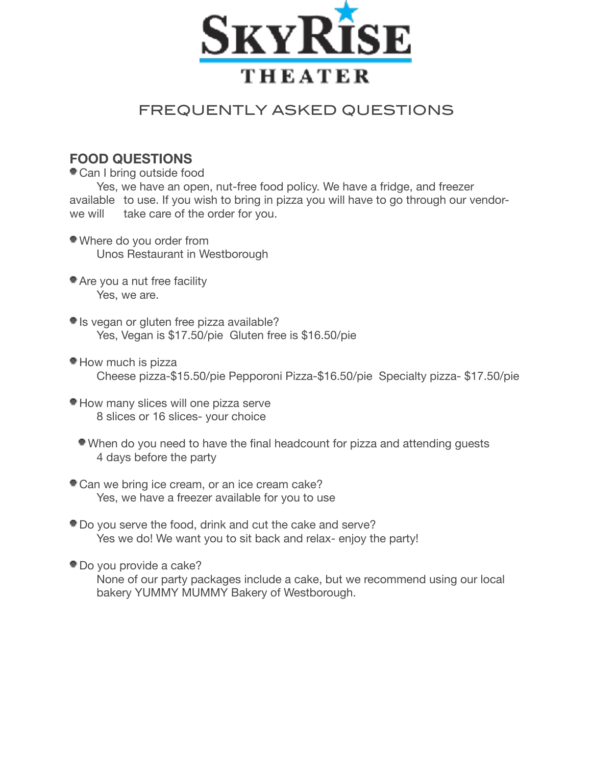

# FREQUENTLY ASKED QUESTIONS

### **FOOD QUESTIONS**

Can I bring outside food

Yes, we have an open, nut-free food policy. We have a fridge, and freezer available to use. If you wish to bring in pizza you will have to go through our vendorwe will take care of the order for you.

- Where do you order from Unos Restaurant in Westborough
- Are you a nut free facility Yes, we are.
- Is vegan or gluten free pizza available? Yes, Vegan is \$17.50/pie Gluten free is \$16.50/pie
- How much is pizza Cheese pizza-\$15.50/pie Pepporoni Pizza-\$16.50/pie Specialty pizza- \$17.50/pie
- How many slices will one pizza serve 8 slices or 16 slices- your choice
	- When do you need to have the final headcount for pizza and attending guests 4 days before the party
- Can we bring ice cream, or an ice cream cake? Yes, we have a freezer available for you to use
- Do you serve the food, drink and cut the cake and serve? Yes we do! We want you to sit back and relax- enjoy the party!
- Do you provide a cake?

None of our party packages include a cake, but we recommend using our local bakery YUMMY MUMMY Bakery of Westborough.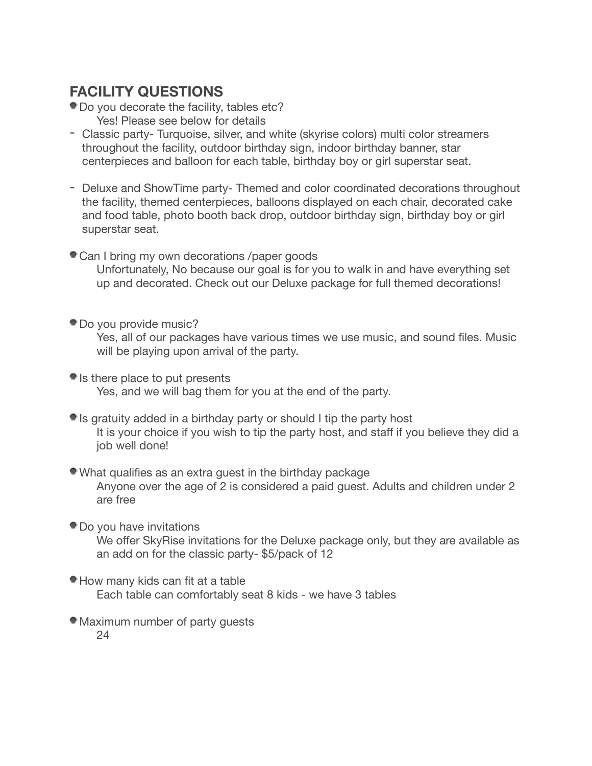# **FACILITY QUESTIONS**

- Do you decorate the facility, tables etc?
	- Yes! Please see below for details
- Classic party- Turquoise, silver, and white (skyrise colors) multi color streamers throughout the facility, outdoor birthday sign, indoor birthday banner, star centerpieces and balloon for each table, birthday boy or girl superstar seat.
- Deluxe and ShowTime party- Themed and color coordinated decorations throughout the facility, themed centerpieces, balloons displayed on each chair, decorated cake and food table, photo booth back drop, outdoor birthday sign, birthday boy or girl superstar seat.
- Can I bring my own decorations /paper goods Unfortunately, No because our goal is for you to walk in and have everything set up and decorated. Check out our Deluxe package for full themed decorations!
- Do you provide music?

Yes, all of our packages have various times we use music, and sound files. Music will be playing upon arrival of the party.

- If Is there place to put presents Yes, and we will bag them for you at the end of the party.
- Is gratuity added in a birthday party or should I tip the party host It is your choice if you wish to tip the party host, and staff if you believe they did a job well done!

### What qualifies as an extra guest in the birthday package Anyone over the age of 2 is considered a paid guest. Adults and children under 2 are free

Do you have invitations

We offer SkyRise invitations for the Deluxe package only, but they are available as an add on for the classic party- \$5/pack of 12

- How many kids can fit at a table Each table can comfortably seat 8 kids - we have 3 tables
- Maximum number of party guests 24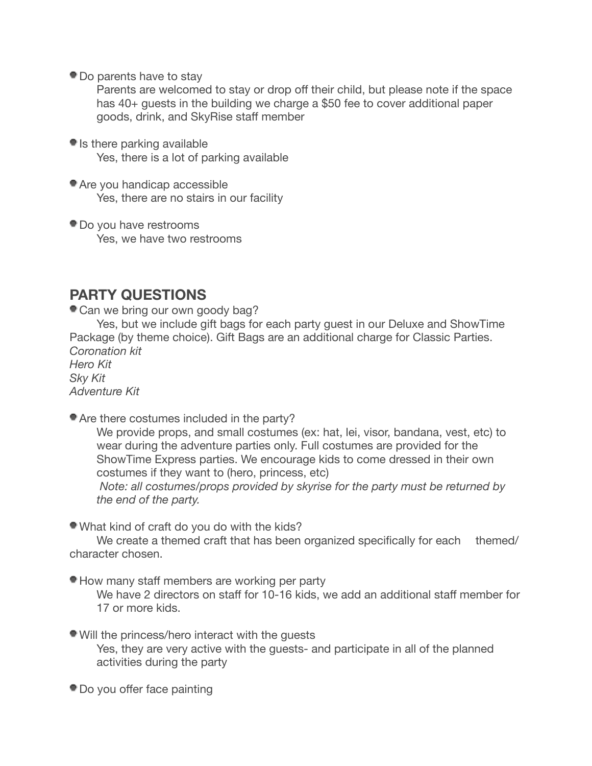Do parents have to stay

Parents are welcomed to stay or drop off their child, but please note if the space has 40+ guests in the building we charge a \$50 fee to cover additional paper goods, drink, and SkyRise staff member

- $\bullet$  Is there parking available Yes, there is a lot of parking available
- Are you handicap accessible Yes, there are no stairs in our facility
- Do you have restrooms Yes, we have two restrooms

## **PARTY QUESTIONS**

Can we bring our own goody bag?

Yes, but we include gift bags for each party guest in our Deluxe and ShowTime Package (by theme choice). Gift Bags are an additional charge for Classic Parties. *Coronation kit* 

*Hero Kit Sky Kit Adventure Kit* 

Are there costumes included in the party?

We provide props, and small costumes (ex: hat, lei, visor, bandana, vest, etc) to wear during the adventure parties only. Full costumes are provided for the ShowTime Express parties. We encourage kids to come dressed in their own costumes if they want to (hero, princess, etc)

 *Note: all costumes/props provided by skyrise for the party must be returned by the end of the party.* 

What kind of craft do you do with the kids?

We create a themed craft that has been organized specifically for each themed/ character chosen.

How many staff members are working per party

We have 2 directors on staff for 10-16 kids, we add an additional staff member for 17 or more kids.

- Will the princess/hero interact with the guests Yes, they are very active with the guests- and participate in all of the planned activities during the party
- Do you offer face painting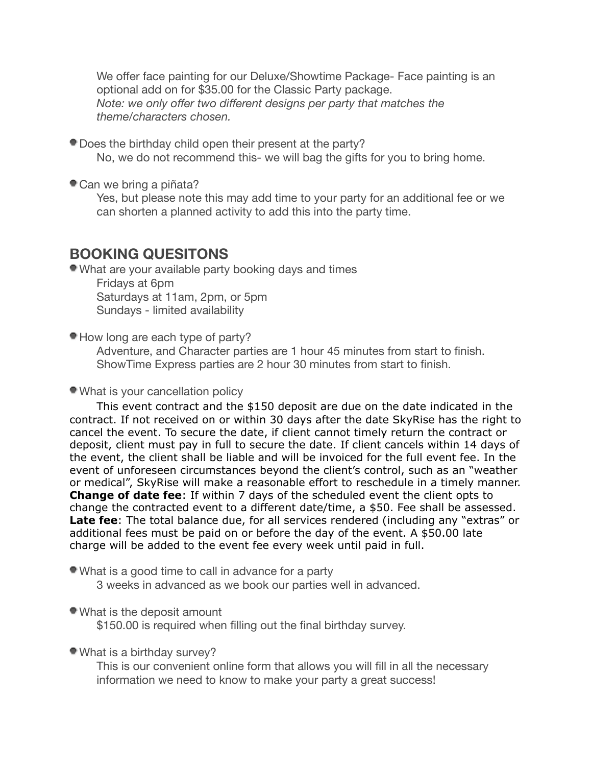We offer face painting for our Deluxe/Showtime Package- Face painting is an optional add on for \$35.00 for the Classic Party package. *Note: we only offer two different designs per party that matches the theme/characters chosen.* 

Does the birthday child open their present at the party?

No, we do not recommend this- we will bag the gifts for you to bring home.

Can we bring a piñata?

Yes, but please note this may add time to your party for an additional fee or we can shorten a planned activity to add this into the party time.

### **BOOKING QUESITONS**

What are your available party booking days and times

Fridays at 6pm Saturdays at 11am, 2pm, or 5pm Sundays - limited availability

How long are each type of party?

Adventure, and Character parties are 1 hour 45 minutes from start to finish. ShowTime Express parties are 2 hour 30 minutes from start to finish.

#### What is your cancellation policy

This event contract and the \$150 deposit are due on the date indicated in the contract. If not received on or within 30 days after the date SkyRise has the right to cancel the event. To secure the date, if client cannot timely return the contract or deposit, client must pay in full to secure the date. If client cancels within 14 days of the event, the client shall be liable and will be invoiced for the full event fee. In the event of unforeseen circumstances beyond the client's control, such as an "weather or medical", SkyRise will make a reasonable effort to reschedule in a timely manner. **Change of date fee**: If within 7 days of the scheduled event the client opts to change the contracted event to a different date/time, a \$50. Fee shall be assessed. **Late fee**: The total balance due, for all services rendered (including any "extras" or additional fees must be paid on or before the day of the event. A \$50.00 late charge will be added to the event fee every week until paid in full.

What is a good time to call in advance for a party

3 weeks in advanced as we book our parties well in advanced.

#### What is the deposit amount

\$150.00 is required when filling out the final birthday survey.

#### What is a birthday survey?

This is our convenient online form that allows you will fill in all the necessary information we need to know to make your party a great success!